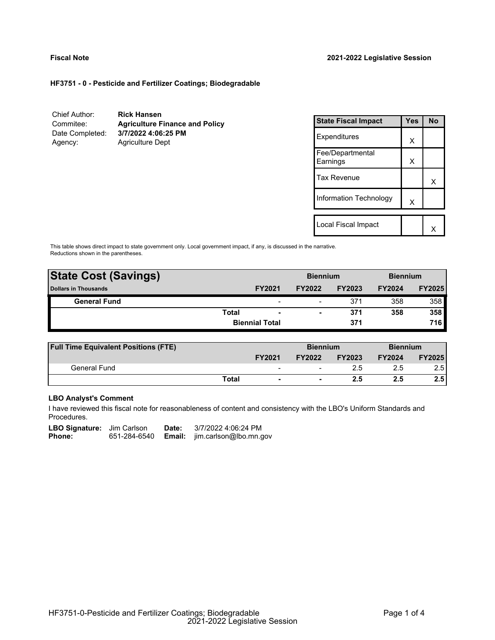# **HF3751 - 0 - Pesticide and Fertilizer Coatings; Biodegradable**

| Chief Author:   | <b>Rick Hansen</b>                    |
|-----------------|---------------------------------------|
| Commitee:       | <b>Agriculture Finance and Policy</b> |
| Date Completed: | 3/7/2022 4:06:25 PM                   |
| Agency:         | <b>Agriculture Dept</b>               |

| <b>State Fiscal Impact</b>   | <b>Yes</b> | No |
|------------------------------|------------|----|
| Expenditures                 | X          |    |
| Fee/Departmental<br>Earnings | X          |    |
| <b>Tax Revenue</b>           |            | x  |
| Information Technology       | X          |    |
|                              |            |    |
| Local Fiscal Impact          |            |    |

This table shows direct impact to state government only. Local government impact, if any, is discussed in the narrative. Reductions shown in the parentheses.

| <b>State Cost (Savings)</b> |              |                          | <b>Biennium</b> |               | <b>Biennium</b> |               |
|-----------------------------|--------------|--------------------------|-----------------|---------------|-----------------|---------------|
| <b>Dollars in Thousands</b> |              | <b>FY2021</b>            | <b>FY2022</b>   | <b>FY2023</b> | <b>FY2024</b>   | <b>FY2025</b> |
| <b>General Fund</b>         |              | $\overline{\phantom{0}}$ | -               | 371           | 358             | 358           |
|                             | <b>Total</b> | $\overline{\phantom{a}}$ | -               | 371           | 358             | 358           |
|                             |              | <b>Biennial Total</b>    |                 | 371           |                 | 716           |
|                             |              |                          |                 |               |                 |               |

| <b>Full Time Equivalent Positions (FTE)</b> |       |                              | <b>Biennium</b>          |               | <b>Biennium</b> |               |
|---------------------------------------------|-------|------------------------------|--------------------------|---------------|-----------------|---------------|
|                                             |       | <b>FY2021</b>                | <b>FY2022</b>            | <b>FY2023</b> | <b>FY2024</b>   | <b>FY2025</b> |
| General Fund                                |       | $\qquad \qquad \blacksquare$ | -                        |               | 2.5             | 2.5           |
|                                             | Total | $\blacksquare$               | $\overline{\phantom{0}}$ | 2.5           | 2.5             | 2.5           |

## **LBO Analyst's Comment**

I have reviewed this fiscal note for reasonableness of content and consistency with the LBO's Uniform Standards and Procedures.

| <b>LBO Signature:</b> Jim Carlson |              | Date: | 3/7/2022 4:06:24 PM                  |
|-----------------------------------|--------------|-------|--------------------------------------|
| Phone:                            | 651-284-6540 |       | <b>Email:</b> jim.carlson@lbo.mn.gov |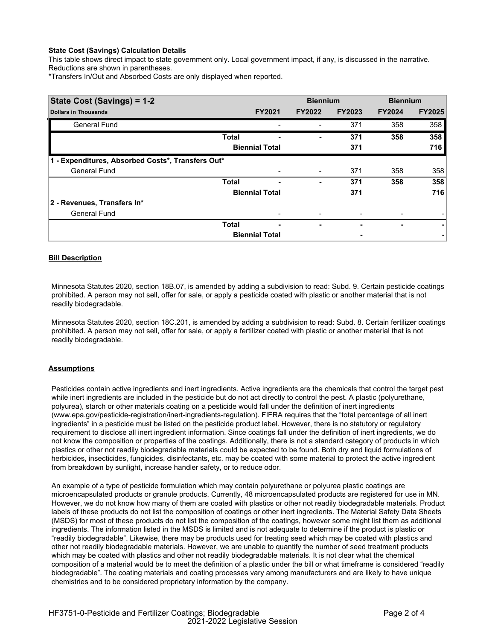## **State Cost (Savings) Calculation Details**

This table shows direct impact to state government only. Local government impact, if any, is discussed in the narrative. Reductions are shown in parentheses.

\*Transfers In/Out and Absorbed Costs are only displayed when reported.

| State Cost (Savings) = 1-2                        |              |                       | <b>Biennium</b> |               | <b>Biennium</b> |               |
|---------------------------------------------------|--------------|-----------------------|-----------------|---------------|-----------------|---------------|
| <b>Dollars in Thousands</b>                       |              | <b>FY2021</b>         | <b>FY2022</b>   | <b>FY2023</b> | <b>FY2024</b>   | <b>FY2025</b> |
| <b>General Fund</b>                               |              |                       |                 | 371           | 358             | 358           |
|                                                   | <b>Total</b> | ۰                     | -               | 371           | 358             | 358           |
|                                                   |              | <b>Biennial Total</b> |                 | 371           |                 | 716           |
| 1 - Expenditures, Absorbed Costs*, Transfers Out* |              |                       |                 |               |                 |               |
| <b>General Fund</b>                               |              |                       |                 | 371           | 358             | 358           |
|                                                   | <b>Total</b> | -                     | ۰               | 371           | 358             | 358           |
|                                                   |              | <b>Biennial Total</b> |                 | 371           |                 | 716           |
| 2 - Revenues, Transfers In*                       |              |                       |                 |               |                 |               |
| <b>General Fund</b>                               |              |                       |                 |               |                 |               |
|                                                   | <b>Total</b> | -                     | ۰               |               | ۰               | ۰             |
|                                                   |              | <b>Biennial Total</b> |                 |               |                 |               |

## **Bill Description**

Minnesota Statutes 2020, section 18B.07, is amended by adding a subdivision to read: Subd. 9. Certain pesticide coatings prohibited. A person may not sell, offer for sale, or apply a pesticide coated with plastic or another material that is not readily biodegradable.

Minnesota Statutes 2020, section 18C.201, is amended by adding a subdivision to read: Subd. 8. Certain fertilizer coatings prohibited. A person may not sell, offer for sale, or apply a fertilizer coated with plastic or another material that is not readily biodegradable.

### **Assumptions**

Pesticides contain active ingredients and inert ingredients. Active ingredients are the chemicals that control the target pest while inert ingredients are included in the pesticide but do not act directly to control the pest. A plastic (polyurethane, polyurea), starch or other materials coating on a pesticide would fall under the definition of inert ingredients (www.epa.gov/pesticide-registration/inert-ingredients-regulation). FIFRA requires that the "total percentage of all inert ingredients" in a pesticide must be listed on the pesticide product label. However, there is no statutory or regulatory requirement to disclose all inert ingredient information. Since coatings fall under the definition of inert ingredients, we do not know the composition or properties of the coatings. Additionally, there is not a standard category of products in which plastics or other not readily biodegradable materials could be expected to be found. Both dry and liquid formulations of herbicides, insecticides, fungicides, disinfectants, etc. may be coated with some material to protect the active ingredient from breakdown by sunlight, increase handler safety, or to reduce odor.

An example of a type of pesticide formulation which may contain polyurethane or polyurea plastic coatings are microencapsulated products or granule products. Currently, 48 microencapsulated products are registered for use in MN. However, we do not know how many of them are coated with plastics or other not readily biodegradable materials. Product labels of these products do not list the composition of coatings or other inert ingredients. The Material Safety Data Sheets (MSDS) for most of these products do not list the composition of the coatings, however some might list them as additional ingredients. The information listed in the MSDS is limited and is not adequate to determine if the product is plastic or "readily biodegradable". Likewise, there may be products used for treating seed which may be coated with plastics and other not readily biodegradable materials. However, we are unable to quantify the number of seed treatment products which may be coated with plastics and other not readily biodegradable materials. It is not clear what the chemical composition of a material would be to meet the definition of a plastic under the bill or what timeframe is considered "readily biodegradable". The coating materials and coating processes vary among manufacturers and are likely to have unique chemistries and to be considered proprietary information by the company.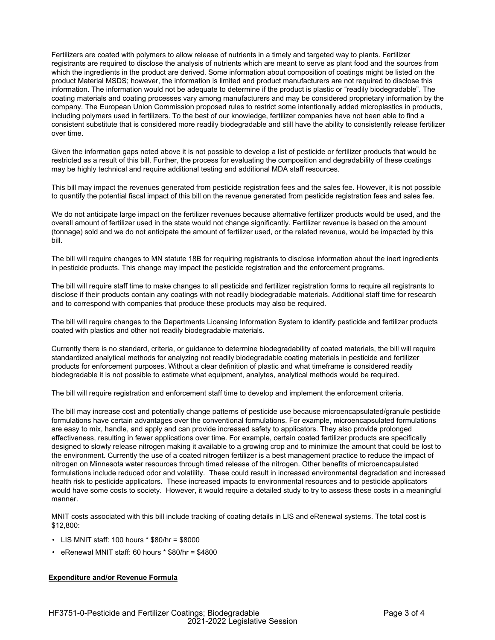Fertilizers are coated with polymers to allow release of nutrients in a timely and targeted way to plants. Fertilizer registrants are required to disclose the analysis of nutrients which are meant to serve as plant food and the sources from which the ingredients in the product are derived. Some information about composition of coatings might be listed on the product Material MSDS; however, the information is limited and product manufacturers are not required to disclose this information. The information would not be adequate to determine if the product is plastic or "readily biodegradable". The coating materials and coating processes vary among manufacturers and may be considered proprietary information by the company. The European Union Commission proposed rules to restrict some intentionally added microplastics in products, including polymers used in fertilizers. To the best of our knowledge, fertilizer companies have not been able to find a consistent substitute that is considered more readily biodegradable and still have the ability to consistently release fertilizer over time.

Given the information gaps noted above it is not possible to develop a list of pesticide or fertilizer products that would be restricted as a result of this bill. Further, the process for evaluating the composition and degradability of these coatings may be highly technical and require additional testing and additional MDA staff resources.

This bill may impact the revenues generated from pesticide registration fees and the sales fee. However, it is not possible to quantify the potential fiscal impact of this bill on the revenue generated from pesticide registration fees and sales fee.

We do not anticipate large impact on the fertilizer revenues because alternative fertilizer products would be used, and the overall amount of fertilizer used in the state would not change significantly. Fertilizer revenue is based on the amount (tonnage) sold and we do not anticipate the amount of fertilizer used, or the related revenue, would be impacted by this bill.

The bill will require changes to MN statute 18B for requiring registrants to disclose information about the inert ingredients in pesticide products. This change may impact the pesticide registration and the enforcement programs.

The bill will require staff time to make changes to all pesticide and fertilizer registration forms to require all registrants to disclose if their products contain any coatings with not readily biodegradable materials. Additional staff time for research and to correspond with companies that produce these products may also be required.

The bill will require changes to the Departments Licensing Information System to identify pesticide and fertilizer products coated with plastics and other not readily biodegradable materials.

Currently there is no standard, criteria, or guidance to determine biodegradability of coated materials, the bill will require standardized analytical methods for analyzing not readily biodegradable coating materials in pesticide and fertilizer products for enforcement purposes. Without a clear definition of plastic and what timeframe is considered readily biodegradable it is not possible to estimate what equipment, analytes, analytical methods would be required.

The bill will require registration and enforcement staff time to develop and implement the enforcement criteria.

The bill may increase cost and potentially change patterns of pesticide use because microencapsulated/granule pesticide formulations have certain advantages over the conventional formulations. For example, microencapsulated formulations are easy to mix, handle, and apply and can provide increased safety to applicators. They also provide prolonged effectiveness, resulting in fewer applications over time. For example, certain coated fertilizer products are specifically designed to slowly release nitrogen making it available to a growing crop and to minimize the amount that could be lost to the environment. Currently the use of a coated nitrogen fertilizer is a best management practice to reduce the impact of nitrogen on Minnesota water resources through timed release of the nitrogen. Other benefits of microencapsulated formulations include reduced odor and volatility. These could result in increased environmental degradation and increased health risk to pesticide applicators. These increased impacts to environmental resources and to pesticide applicators would have some costs to society. However, it would require a detailed study to try to assess these costs in a meaningful manner.

MNIT costs associated with this bill include tracking of coating details in LIS and eRenewal systems. The total cost is \$12,800:

- LIS MNIT staff: 100 hours \* \$80/hr = \$8000
- eRenewal MNIT staff: 60 hours \* \$80/hr = \$4800

### **Expenditure and/or Revenue Formula**